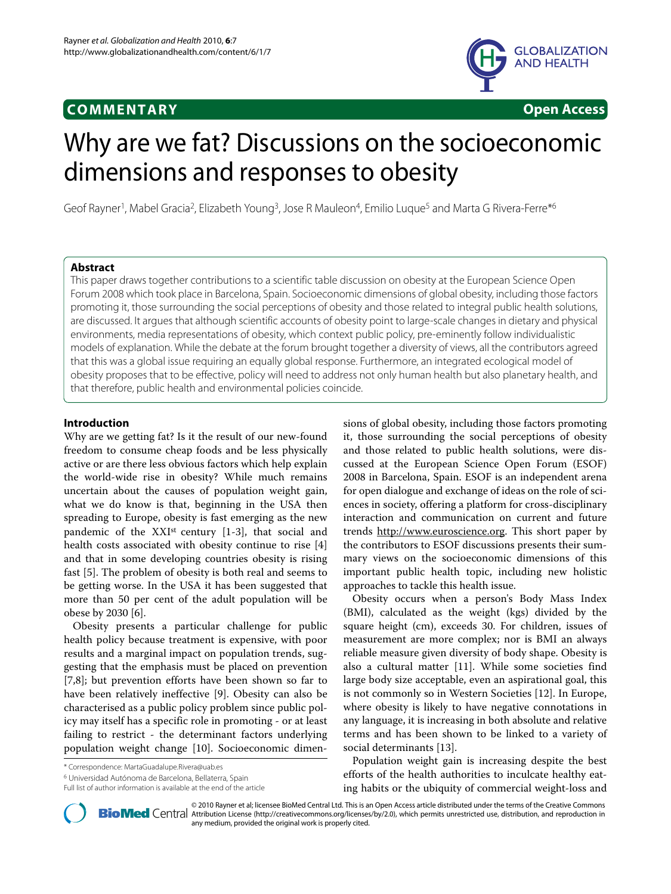## **COMMENTARY Open Access**



# Why are we fat? Discussions on the socioeconomic dimensions and responses to obesity

Geof Rayner<sup>1</sup>, Mabel Gracia<sup>2</sup>, Elizabeth Young<sup>3</sup>, Jose R Mauleon<sup>4</sup>, Emilio Luque<sup>5</sup> and Marta G Rivera-Ferre<sup>\*6</sup>

#### **Abstract**

This paper draws together contributions to a scientific table discussion on obesity at the European Science Open Forum 2008 which took place in Barcelona, Spain. Socioeconomic dimensions of global obesity, including those factors promoting it, those surrounding the social perceptions of obesity and those related to integral public health solutions, are discussed. It argues that although scientific accounts of obesity point to large-scale changes in dietary and physical environments, media representations of obesity, which context public policy, pre-eminently follow individualistic models of explanation. While the debate at the forum brought together a diversity of views, all the contributors agreed that this was a global issue requiring an equally global response. Furthermore, an integrated ecological model of obesity proposes that to be effective, policy will need to address not only human health but also planetary health, and that therefore, public health and environmental policies coincide.

#### **Introduction**

Why are we getting fat? Is it the result of our new-found freedom to consume cheap foods and be less physically active or are there less obvious factors which help explain the world-wide rise in obesity? While much remains uncertain about the causes of population weight gain, what we do know is that, beginning in the USA then spreading to Europe, obesity is fast emerging as the new pandemic of the XXI<sup>st</sup> century [\[1](#page-3-0)-[3\]](#page-4-0), that social and health costs associated with obesity continue to rise [\[4](#page-4-1)] and that in some developing countries obesity is rising fast [[5\]](#page-4-2). The problem of obesity is both real and seems to be getting worse. In the USA it has been suggested that more than 50 per cent of the adult population will be obese by 2030 [\[6](#page-4-3)].

Obesity presents a particular challenge for public health policy because treatment is expensive, with poor results and a marginal impact on population trends, suggesting that the emphasis must be placed on prevention [[7,](#page-4-4)[8\]](#page-4-5); but prevention efforts have been shown so far to have been relatively ineffective [[9\]](#page-4-6). Obesity can also be characterised as a public policy problem since public policy may itself has a specific role in promoting - or at least failing to restrict - the determinant factors underlying population weight change [[10\]](#page-4-7). Socioeconomic dimen-

\* Correspondence: MartaGuadalupe.Rivera@uab.es

6 Universidad Autónoma de Barcelona, Bellaterra, Spain

Full list of author information is available at the end of the article

sions of global obesity, including those factors promoting it, those surrounding the social perceptions of obesity and those related to public health solutions, were discussed at the European Science Open Forum (ESOF) 2008 in Barcelona, Spain. ESOF is an independent arena for open dialogue and exchange of ideas on the role of sciences in society, offering a platform for cross-disciplinary interaction and communication on current and future trends <http://www.euroscience.org>. This short paper by the contributors to ESOF discussions presents their summary views on the socioeconomic dimensions of this important public health topic, including new holistic approaches to tackle this health issue.

Obesity occurs when a person's Body Mass Index (BMI), calculated as the weight (kgs) divided by the square height (cm), exceeds 30. For children, issues of measurement are more complex; nor is BMI an always reliable measure given diversity of body shape. Obesity is also a cultural matter [\[11](#page-4-8)]. While some societies find large body size acceptable, even an aspirational goal, this is not commonly so in Western Societies [[12\]](#page-4-9). In Europe, where obesity is likely to have negative connotations in any language, it is increasing in both absolute and relative terms and has been shown to be linked to a variety of social determinants [\[13](#page-4-10)].

Population weight gain is increasing despite the best efforts of the health authorities to inculcate healthy eating habits or the ubiquity of commercial weight-loss and



2010 Rayner et al; licensee [BioMed](http://www.biomedcentral.com/) Central Ltd. This is an Open Access article distributed under the terms of the Creative Commons (http://creativecommons.org/licenses/by/2.0), which permits unrestricted use, distribution, any medium, provided the original work is properly cited.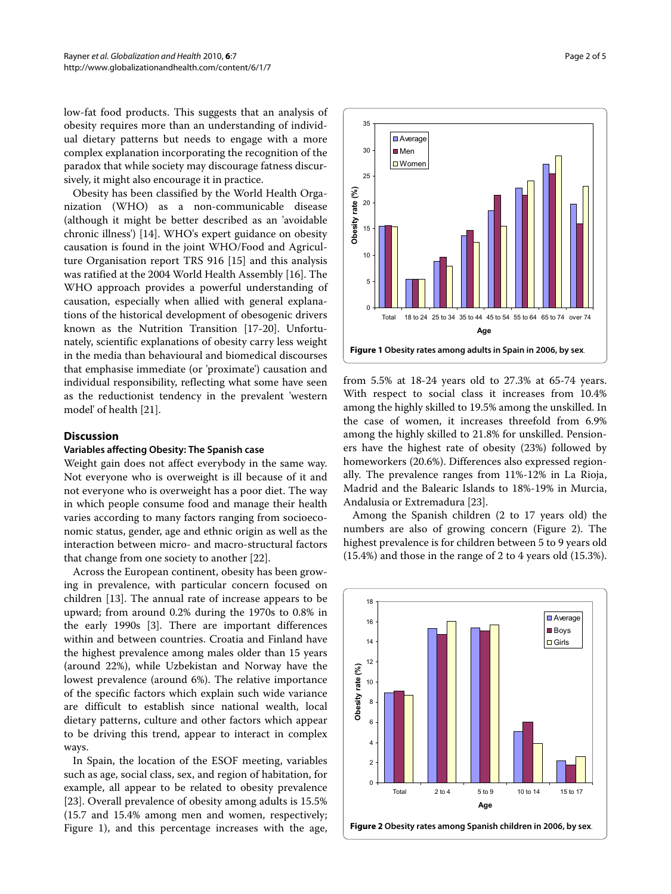low-fat food products. This suggests that an analysis of obesity requires more than an understanding of individual dietary patterns but needs to engage with a more complex explanation incorporating the recognition of the paradox that while society may discourage fatness discursively, it might also encourage it in practice.

Obesity has been classified by the World Health Organization (WHO) as a non-communicable disease (although it might be better described as an 'avoidable chronic illness') [[14\]](#page-4-11). WHO's expert guidance on obesity causation is found in the joint WHO/Food and Agriculture Organisation report TRS 916 [\[15](#page-4-12)] and this analysis was ratified at the 2004 World Health Assembly [[16\]](#page-4-13). The WHO approach provides a powerful understanding of causation, especially when allied with general explanations of the historical development of obesogenic drivers known as the Nutrition Transition [[17](#page-4-14)[-20\]](#page-4-15). Unfortunately, scientific explanations of obesity carry less weight in the media than behavioural and biomedical discourses that emphasise immediate (or 'proximate') causation and individual responsibility, reflecting what some have seen as the reductionist tendency in the prevalent 'western model' of health [[21\]](#page-4-16).

### **Discussion**

#### **Variables affecting Obesity: The Spanish case**

Weight gain does not affect everybody in the same way. Not everyone who is overweight is ill because of it and not everyone who is overweight has a poor diet. The way in which people consume food and manage their health varies according to many factors ranging from socioeconomic status, gender, age and ethnic origin as well as the interaction between micro- and macro-structural factors that change from one society to another [[22\]](#page-4-17).

Across the European continent, obesity has been growing in prevalence, with particular concern focused on children [\[13\]](#page-4-10). The annual rate of increase appears to be upward; from around 0.2% during the 1970s to 0.8% in the early 1990s [[3\]](#page-4-0). There are important differences within and between countries. Croatia and Finland have the highest prevalence among males older than 15 years (around 22%), while Uzbekistan and Norway have the lowest prevalence (around 6%). The relative importance of the specific factors which explain such wide variance are difficult to establish since national wealth, local dietary patterns, culture and other factors which appear to be driving this trend, appear to interact in complex ways.

In Spain, the location of the ESOF meeting, variables such as age, social class, sex, and region of habitation, for example, all appear to be related to obesity prevalence [[23\]](#page-4-18). Overall prevalence of obesity among adults is 15.5% (15.7 and 15.4% among men and women, respectively; Figure [1](#page-1-0)), and this percentage increases with the age,

<span id="page-1-0"></span>

from 5.5% at 18-24 years old to 27.3% at 65-74 years. With respect to social class it increases from 10.4% among the highly skilled to 19.5% among the unskilled. In the case of women, it increases threefold from 6.9% among the highly skilled to 21.8% for unskilled. Pensioners have the highest rate of obesity (23%) followed by homeworkers (20.6%). Differences also expressed regionally. The prevalence ranges from 11%-12% in La Rioja, Madrid and the Balearic Islands to 18%-19% in Murcia, Andalusia or Extremadura [\[23\]](#page-4-18).

Among the Spanish children (2 to 17 years old) the numbers are also of growing concern (Figure [2\)](#page-1-1). The highest prevalence is for children between 5 to 9 years old (15.4%) and those in the range of 2 to 4 years old (15.3%).

<span id="page-1-1"></span>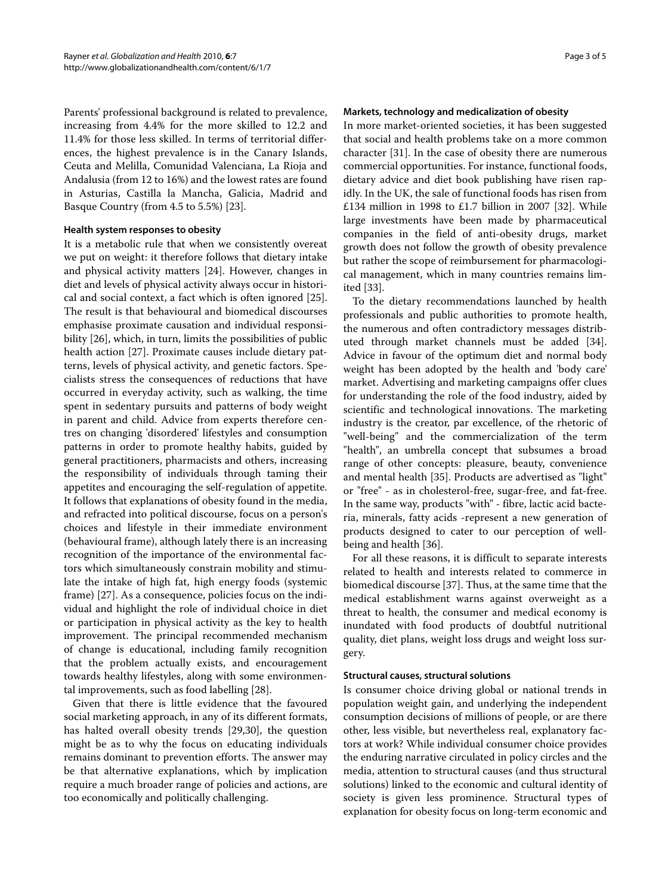Parents' professional background is related to prevalence, increasing from 4.4% for the more skilled to 12.2 and 11.4% for those less skilled. In terms of territorial differences, the highest prevalence is in the Canary Islands, Ceuta and Melilla, Comunidad Valenciana, La Rioja and Andalusia (from 12 to 16%) and the lowest rates are found in Asturias, Castilla la Mancha, Galicia, Madrid and Basque Country (from 4.5 to 5.5%) [\[23](#page-4-18)].

#### **Health system responses to obesity**

It is a metabolic rule that when we consistently overeat we put on weight: it therefore follows that dietary intake and physical activity matters [\[24](#page-4-19)]. However, changes in diet and levels of physical activity always occur in historical and social context, a fact which is often ignored [\[25](#page-4-20)]. The result is that behavioural and biomedical discourses emphasise proximate causation and individual responsibility [[26\]](#page-4-21), which, in turn, limits the possibilities of public health action [[27\]](#page-4-22). Proximate causes include dietary patterns, levels of physical activity, and genetic factors. Specialists stress the consequences of reductions that have occurred in everyday activity, such as walking, the time spent in sedentary pursuits and patterns of body weight in parent and child. Advice from experts therefore centres on changing 'disordered' lifestyles and consumption patterns in order to promote healthy habits, guided by general practitioners, pharmacists and others, increasing the responsibility of individuals through taming their appetites and encouraging the self-regulation of appetite. It follows that explanations of obesity found in the media, and refracted into political discourse, focus on a person's choices and lifestyle in their immediate environment (behavioural frame), although lately there is an increasing recognition of the importance of the environmental factors which simultaneously constrain mobility and stimulate the intake of high fat, high energy foods (systemic frame) [\[27](#page-4-22)]. As a consequence, policies focus on the individual and highlight the role of individual choice in diet or participation in physical activity as the key to health improvement. The principal recommended mechanism of change is educational, including family recognition that the problem actually exists, and encouragement towards healthy lifestyles, along with some environmental improvements, such as food labelling [[28\]](#page-4-23).

Given that there is little evidence that the favoured social marketing approach, in any of its different formats, has halted overall obesity trends [\[29](#page-4-24)[,30](#page-4-25)], the question might be as to why the focus on educating individuals remains dominant to prevention efforts. The answer may be that alternative explanations, which by implication require a much broader range of policies and actions, are too economically and politically challenging.

#### **Markets, technology and medicalization of obesity**

In more market-oriented societies, it has been suggested that social and health problems take on a more common character [\[31\]](#page-4-26). In the case of obesity there are numerous commercial opportunities. For instance, functional foods, dietary advice and diet book publishing have risen rapidly. In the UK, the sale of functional foods has risen from £134 million in 1998 to £1.7 billion in 2007 [[32\]](#page-4-27). While large investments have been made by pharmaceutical companies in the field of anti-obesity drugs, market growth does not follow the growth of obesity prevalence but rather the scope of reimbursement for pharmacological management, which in many countries remains limited [[33\]](#page-4-28).

To the dietary recommendations launched by health professionals and public authorities to promote health, the numerous and often contradictory messages distributed through market channels must be added [\[34](#page-4-29)]. Advice in favour of the optimum diet and normal body weight has been adopted by the health and 'body care' market. Advertising and marketing campaigns offer clues for understanding the role of the food industry, aided by scientific and technological innovations. The marketing industry is the creator, par excellence, of the rhetoric of "well-being" and the commercialization of the term "health", an umbrella concept that subsumes a broad range of other concepts: pleasure, beauty, convenience and mental health [\[35\]](#page-4-30). Products are advertised as "light" or "free" - as in cholesterol-free, sugar-free, and fat-free. In the same way, products "with" - fibre, lactic acid bacteria, minerals, fatty acids -represent a new generation of products designed to cater to our perception of wellbeing and health [\[36\]](#page-4-31).

For all these reasons, it is difficult to separate interests related to health and interests related to commerce in biomedical discourse [[37\]](#page-4-32). Thus, at the same time that the medical establishment warns against overweight as a threat to health, the consumer and medical economy is inundated with food products of doubtful nutritional quality, diet plans, weight loss drugs and weight loss surgery.

#### **Structural causes, structural solutions**

Is consumer choice driving global or national trends in population weight gain, and underlying the independent consumption decisions of millions of people, or are there other, less visible, but nevertheless real, explanatory factors at work? While individual consumer choice provides the enduring narrative circulated in policy circles and the media, attention to structural causes (and thus structural solutions) linked to the economic and cultural identity of society is given less prominence. Structural types of explanation for obesity focus on long-term economic and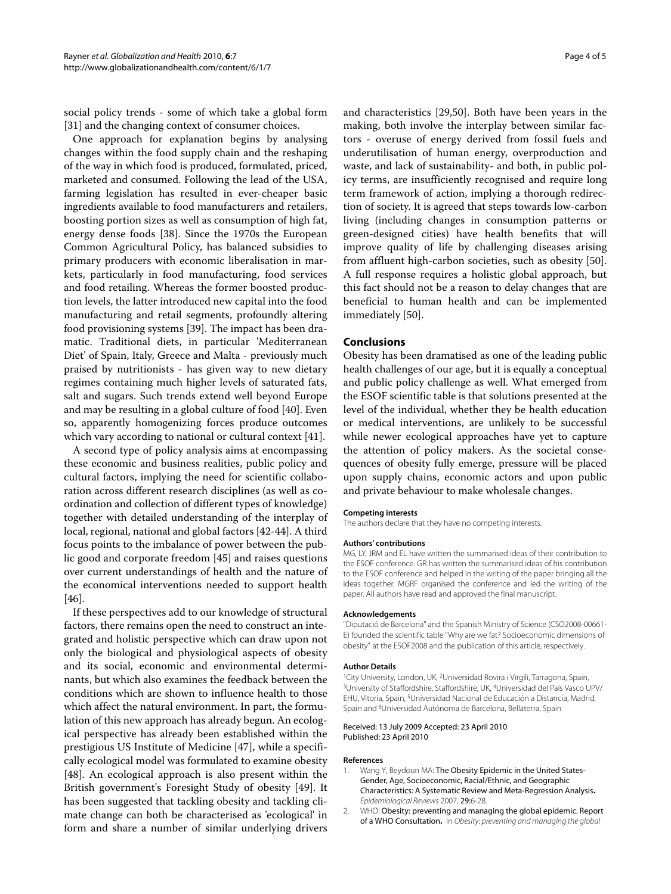social policy trends - some of which take a global form [[31\]](#page-4-26) and the changing context of consumer choices.

One approach for explanation begins by analysing changes within the food supply chain and the reshaping of the way in which food is produced, formulated, priced, marketed and consumed. Following the lead of the USA, farming legislation has resulted in ever-cheaper basic ingredients available to food manufacturers and retailers, boosting portion sizes as well as consumption of high fat, energy dense foods [[38\]](#page-4-33). Since the 1970s the European Common Agricultural Policy, has balanced subsidies to primary producers with economic liberalisation in markets, particularly in food manufacturing, food services and food retailing. Whereas the former boosted production levels, the latter introduced new capital into the food manufacturing and retail segments, profoundly altering food provisioning systems [[39](#page-4-34)]. The impact has been dramatic. Traditional diets, in particular 'Mediterranean Diet' of Spain, Italy, Greece and Malta - previously much praised by nutritionists - has given way to new dietary regimes containing much higher levels of saturated fats, salt and sugars. Such trends extend well beyond Europe and may be resulting in a global culture of food [\[40](#page-4-35)]. Even so, apparently homogenizing forces produce outcomes which vary according to national or cultural context [\[41](#page-4-36)].

A second type of policy analysis aims at encompassing these economic and business realities, public policy and cultural factors, implying the need for scientific collaboration across different research disciplines (as well as coordination and collection of different types of knowledge) together with detailed understanding of the interplay of local, regional, national and global factors [[42](#page-4-37)-[44\]](#page-4-38). A third focus points to the imbalance of power between the public good and corporate freedom [\[45](#page-4-39)] and raises questions over current understandings of health and the nature of the economical interventions needed to support health [[46\]](#page-4-40).

If these perspectives add to our knowledge of structural factors, there remains open the need to construct an integrated and holistic perspective which can draw upon not only the biological and physiological aspects of obesity and its social, economic and environmental determinants, but which also examines the feedback between the conditions which are shown to influence health to those which affect the natural environment. In part, the formulation of this new approach has already begun. An ecological perspective has already been established within the prestigious US Institute of Medicine [\[47\]](#page-4-41), while a specifically ecological model was formulated to examine obesity [[48\]](#page-4-42). An ecological approach is also present within the British government's Foresight Study of obesity [[49\]](#page-4-43). It has been suggested that tackling obesity and tackling climate change can both be characterised as 'ecological' in form and share a number of similar underlying drivers

and characteristics [\[29](#page-4-24)[,50](#page-4-44)]. Both have been years in the making, both involve the interplay between similar factors - overuse of energy derived from fossil fuels and underutilisation of human energy, overproduction and waste, and lack of sustainability- and both, in public policy terms, are insufficiently recognised and require long term framework of action, implying a thorough redirection of society. It is agreed that steps towards low-carbon living (including changes in consumption patterns or green-designed cities) have health benefits that will improve quality of life by challenging diseases arising from affluent high-carbon societies, such as obesity [\[50](#page-4-44)]. A full response requires a holistic global approach, but this fact should not be a reason to delay changes that are beneficial to human health and can be implemented immediately [[50\]](#page-4-44).

#### **Conclusions**

Obesity has been dramatised as one of the leading public health challenges of our age, but it is equally a conceptual and public policy challenge as well. What emerged from the ESOF scientific table is that solutions presented at the level of the individual, whether they be health education or medical interventions, are unlikely to be successful while newer ecological approaches have yet to capture the attention of policy makers. As the societal consequences of obesity fully emerge, pressure will be placed upon supply chains, economic actors and upon public and private behaviour to make wholesale changes.

#### **Competing interests**

The authors declare that they have no competing interests.

#### **Authors' contributions**

MG, LY, JRM and EL have written the summarised ideas of their contribution to the ESOF conference. GR has written the summarised ideas of his contribution to the ESOF conference and helped in the writing of the paper bringing all the ideas together. MGRF organised the conference and led the writing of the paper. All authors have read and approved the final manuscript.

#### **Acknowledgements**

"Diputació de Barcelona" and the Spanish Ministry of Science (CSO2008-00661- E) founded the scientific table "Why are we fat? Socioeconomic dimensions of obesity" at the ESOF2008 and the publication of this article, respectively.

**Author Details** 3University of Staffordshire, Staffordshire, UK, <sup>4</sup>Universidad del País Vasco UPV/ EHU, Vitoria, Spain, 5Universidad Nacional de Educación a Distancia, Madrid, Spain and 6Universidad Autónoma de Barcelona, Bellaterra, Spain

#### Received: 13 July 2009 Accepted: 23 April 2010 Published: 23 April 2010

#### **References**

- <span id="page-3-0"></span>Wang Y, Beydoun MA: The Obesity Epidemic in the United States-Gender, Age, Socioeconomic, Racial/Ethnic, and Geographic Characteristics: A Systematic Review and Meta-Regression Analysis**.** Epidemiological Reviews 2007, 29:6-28.
- 2. WHO: Obesity: preventing and managing the global epidemic. Report of a WHO Consultation**.** In Obesity: preventing and managing the global